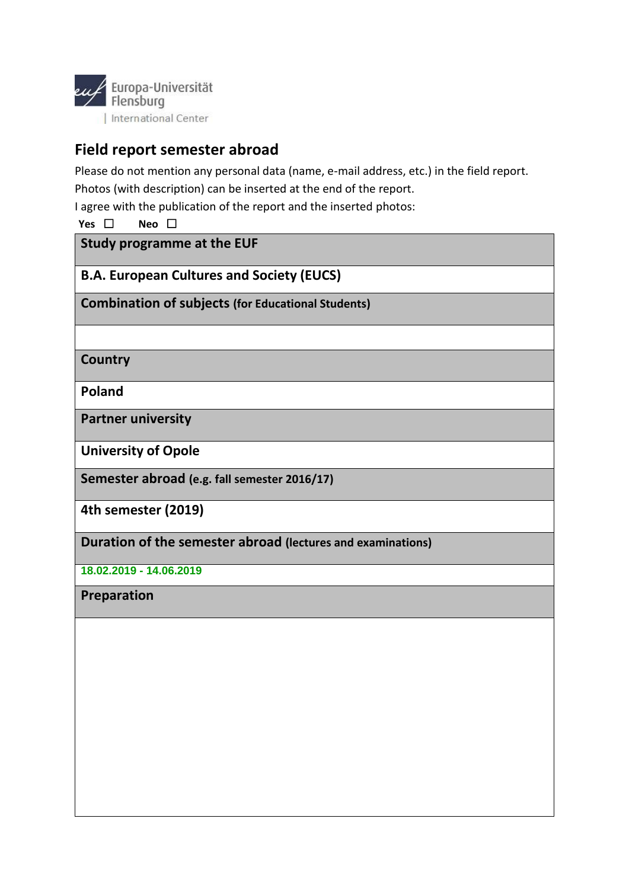

## **Field report semester abroad**

Please do not mention any personal data (name, e-mail address, etc.) in the field report. Photos (with description) can be inserted at the end of the report.

I agree with the publication of the report and the inserted photos:

**Yes** ☐ **Neo** ☐

**Study programme at the EUF** 

**B.A. European Cultures and Society (EUCS)**

**Combination of subjects (for Educational Students)**

**Country**

**Poland**

**Partner university** 

**University of Opole**

**Semester abroad (e.g. fall semester 2016/17)**

**4th semester (2019)**

**Duration of the semester abroad (lectures and examinations)**

**18.02.2019 - 14.06.2019**

**Preparation**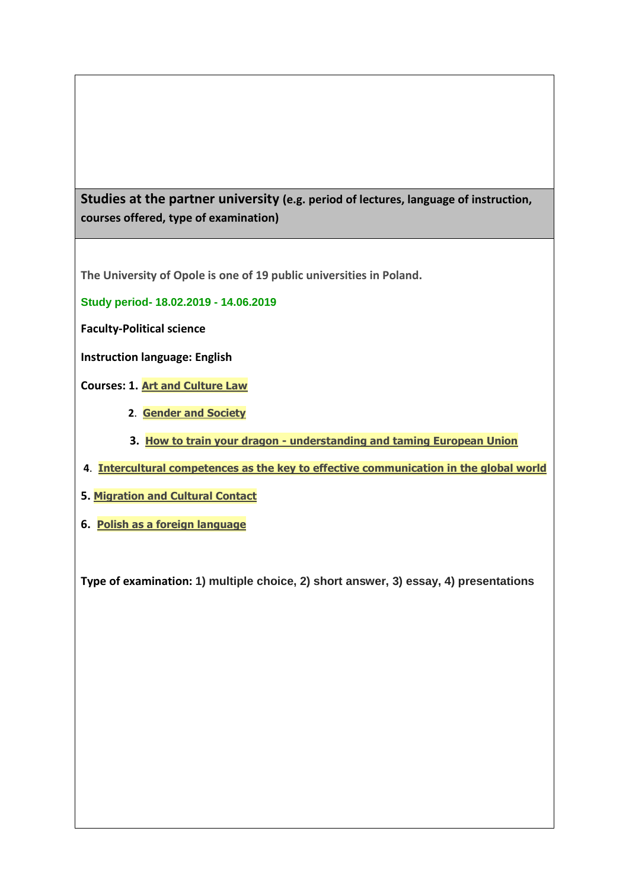**Studies at the partner university (e.g. period of lectures, language of instruction, courses offered, type of examination)**

**The University of Opole is one of 19 public universities in Poland.**

**Study period- 18.02.2019 - 14.06.2019**

**Faculty-Political science**

**Instruction language: English**

**Courses: 1. [Art and Culture Law](https://usosweb.uni.opole.pl/kontroler.php?_action=katalog2/przedmioty/pokazPrzedmiot&kod=KZ-01-00-000021-E)**

- **2**. **[Gender and Society](https://usosweb.uni.opole.pl/kontroler.php?_action=katalog2/przedmioty/pokazPrzedmiot&kod=EN-02-08-GS)**
- **3. How to train your dragon - [understanding and taming European Union](https://usosweb.uni.opole.pl/kontroler.php?_action=katalog2/przedmioty/pokazPrzedmiot&kod=02.04.T.HD)**
- **4**. **[Intercultural competences as the key to effective communication in the global world](https://usosweb.uni.opole.pl/kontroler.php?_action=katalog2/przedmioty/pokazPrzedmiot&kod=KZ-01-00-000008-E)**
- **5. [Migration and Cultural Contact](https://usosweb.uni.opole.pl/kontroler.php?_action=katalog2/przedmioty/pokazPrzedmiot&kod=02.06-S2-EN-MCC)**
- **6. [Polish as a foreign language](https://usosweb.uni.opole.pl/kontroler.php?_action=katalog2/przedmioty/pokazPrzedmiot&kod=KZ-01-00-000001-E)**

**Type of examination: 1) multiple choice, 2) short answer, 3) essay, 4) presentations**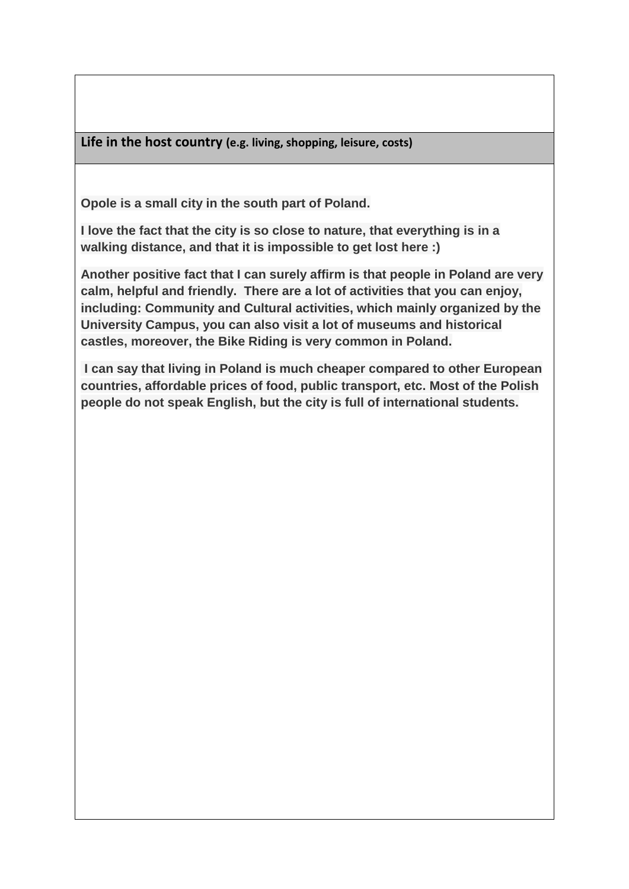**Life in the host country (e.g. living, shopping, leisure, costs)**

**Opole is a small city in the south part of Poland.** 

**I love the fact that the city is so close to nature, that everything is in a walking distance, and that it is impossible to get lost here :)**

**Another positive fact that I can surely affirm is that people in Poland are very calm, helpful and friendly. There are a lot of activities that you can enjoy, including: Community and Cultural activities, which mainly organized by the University Campus, you can also visit a lot of museums and historical castles, moreover, the Bike Riding is very common in Poland.**

**I can say that living in Poland is much cheaper compared to other European countries, affordable prices of food, public transport, etc. Most of the Polish people do not speak English, but the city is full of international students.**